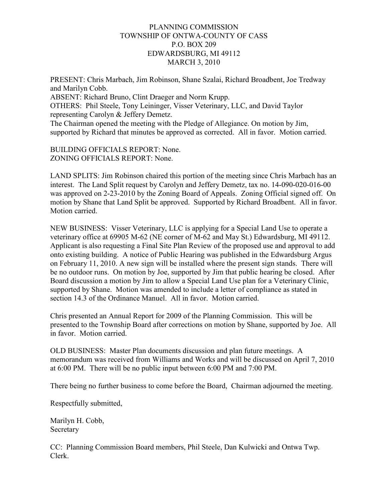## PLANNING COMMISSION TOWNSHIP OF ONTWA-COUNTY OF CASS P.O. BOX 209 EDWARDSBURG, MI 49112 MARCH 3, 2010

PRESENT: Chris Marbach, Jim Robinson, Shane Szalai, Richard Broadbent, Joe Tredway and Marilyn Cobb. ABSENT: Richard Bruno, Clint Draeger and Norm Krupp. OTHERS: Phil Steele, Tony Leininger, Visser Veterinary, LLC, and David Taylor representing Carolyn & Jeffery Demetz. The Chairman opened the meeting with the Pledge of Allegiance. On motion by Jim, supported by Richard that minutes be approved as corrected. All in favor. Motion carried.

BUILDING OFFICIALS REPORT: None. ZONING OFFICIALS REPORT: None.

LAND SPLITS: Jim Robinson chaired this portion of the meeting since Chris Marbach has an interest. The Land Split request by Carolyn and Jeffery Demetz, tax no. 14-090-020-016-00 was approved on 2-23-2010 by the Zoning Board of Appeals. Zoning Official signed off. On motion by Shane that Land Split be approved. Supported by Richard Broadbent. All in favor. Motion carried.

NEW BUSINESS: Visser Veterinary, LLC is applying for a Special Land Use to operate a veterinary office at 69905 M-62 (NE corner of M-62 and May St.) Edwardsburg, MI 49112. Applicant is also requesting a Final Site Plan Review of the proposed use and approval to add onto existing building. A notice of Public Hearing was published in the Edwardsburg Argus on February 11, 2010. A new sign will be installed where the present sign stands. There will be no outdoor runs. On motion by Joe, supported by Jim that public hearing be closed. After Board discussion a motion by Jim to allow a Special Land Use plan for a Veterinary Clinic, supported by Shane. Motion was amended to include a letter of compliance as stated in section 14.3 of the Ordinance Manuel. All in favor. Motion carried.

Chris presented an Annual Report for 2009 of the Planning Commission. This will be presented to the Township Board after corrections on motion by Shane, supported by Joe. All in favor. Motion carried.

OLD BUSINESS: Master Plan documents discussion and plan future meetings. A memorandum was received from Williams and Works and will be discussed on April 7, 2010 at 6:00 PM. There will be no public input between 6:00 PM and 7:00 PM.

There being no further business to come before the Board, Chairman adjourned the meeting.

Respectfully submitted,

Marilyn H. Cobb, **Secretary** 

CC: Planning Commission Board members, Phil Steele, Dan Kulwicki and Ontwa Twp. Clerk.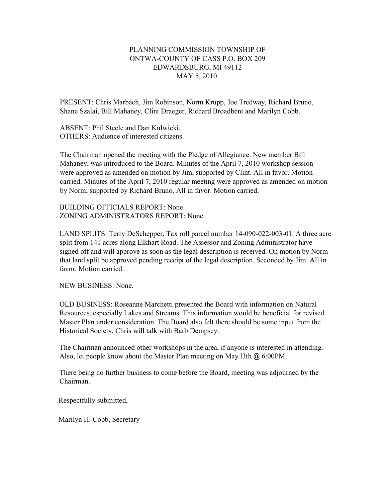## PLANNING COMMISSION TOWNSHIP OF ONTWA-COUNTY OF CASS P.O. BOX 209 EDWARDSBURG, MI 49112 MAY 5, 2010

PRESENT: Chris Marbach, Jim Robinson, Norm Krupp, Joe Tredway, Richard Bruno, Shane Szalai, Bill Mahaney, Clint Draeger, Richard Broadbent and Marilyn Cobb.

ABSENT: Phil Steele and Dan Kulwicki. OTHERS: Audience of interested citizens.

The Chairman opened the meeting with the Pledge of Allegiance. New member Bill Mahaney, was introduced to the Board. Minutes of the April 7, 2010 workshop session were approved as amended on motion by Jim, supported by Clint. All in favor. Motion carried. Minutes of the April 7, 2010 regular meeting were approved as amended on motion by Norm, supported by Richard Bruno. All in favor. Motion carried.

BUILDING OFFICIALS REPORT: None. ZONING ADMINISTRATORS REPORT: None.

LAND SPLITS: Terry DeSchepper, Tax roll parcel number 14-090-022-003-01. A three acre split from 141 acres along Elkhart Road. The Assessor and Zoning Administrator have signed off and will approve as soon as the legal description is received. On motion by Norm that land split be approved pending receipt of the legal description. Seconded by Jim. All in favor. Motion carried.

NEW BUSINESS: None.

OLD BUSINESS: Roseanne Marchetti presented the Board with information on Natural Resources, especially Lakes and Streams. This information would be beneficial for revised Master Plan under consideration. The Board also felt there should be some input from the Historical Society. Chris will talk with Barb Dempsey.

The Chairman announced other workshops in the area, if anyone is interested in attending. Also, let people know about the Master Plan meeting on May l3th @ 6:00PM.

There being no further business to come before the Board, meeting was adjourned by the Chairman.

Respectfully submitted,

Marilyn H. Cobb, Secretary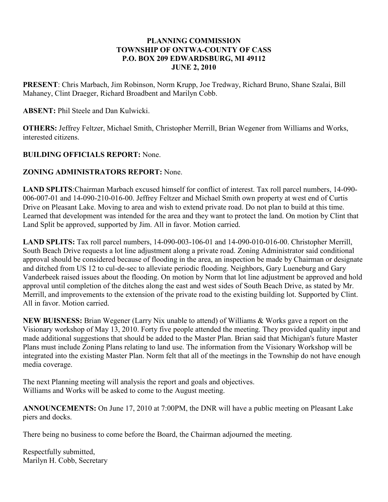## **PLANNING COMMISSION TOWNSHIP OF ONTWA-COUNTY OF CASS P.O. BOX 209 EDWARDSBURG, MI 49112 JUNE 2, 2010**

**PRESENT**: Chris Marbach, Jim Robinson, Norm Krupp, Joe Tredway, Richard Bruno, Shane Szalai, Bill Mahaney, Clint Draeger, Richard Broadbent and Marilyn Cobb.

## **ABSENT:** Phil Steele and Dan Kulwicki.

**OTHERS:** Jeffrey Feltzer, Michael Smith, Christopher Merrill, Brian Wegener from Williams and Works, interested citizens.

# **BUILDING OFFICIALS REPORT:** None.

# **ZONING ADMINISTRATORS REPORT:** None.

**LAND SPLITS**:Chairman Marbach excused himself for conflict of interest. Tax roll parcel numbers, 14-090- 006-007-01 and 14-090-210-016-00. Jeffrey Feltzer and Michael Smith own property at west end of Curtis Drive on Pleasant Lake. Moving to area and wish to extend private road. Do not plan to build at this time. Learned that development was intended for the area and they want to protect the land. On motion by Clint that Land Split be approved, supported by Jim. All in favor. Motion carried.

**LAND SPLITS:** Tax roll parcel numbers, 14-090-003-106-01 and 14-090-010-016-00. Christopher Merrill, South Beach Drive requests a lot line adjustment along a private road. Zoning Administrator said conditional approval should be considered because of flooding in the area, an inspection be made by Chairman or designate and ditched from US 12 to cul-de-sec to alleviate periodic flooding. Neighbors, Gary Lueneburg and Gary Vanderbeek raised issues about the flooding. On motion by Norm that lot line adjustment be approved and hold approval until completion of the ditches along the east and west sides of South Beach Drive, as stated by Mr. Merrill, and improvements to the extension of the private road to the existing building lot. Supported by Clint. All in favor. Motion carried.

**NEW BUISNESS:** Brian Wegener (Larry Nix unable to attend) of Williams & Works gave a report on the Visionary workshop of May 13, 2010. Forty five people attended the meeting. They provided quality input and made additional suggestions that should be added to the Master Plan. Brian said that Michigan's future Master Plans must include Zoning Plans relating to land use. The information from the Visionary Workshop will be integrated into the existing Master Plan. Norm felt that all of the meetings in the Township do not have enough media coverage.

The next Planning meeting will analysis the report and goals and objectives. Williams and Works will be asked to come to the August meeting.

**ANNOUNCEMENTS:** On June 17, 2010 at 7:00PM, the DNR will have a public meeting on Pleasant Lake piers and docks.

There being no business to come before the Board, the Chairman adjourned the meeting.

Respectfully submitted, Marilyn H. Cobb, Secretary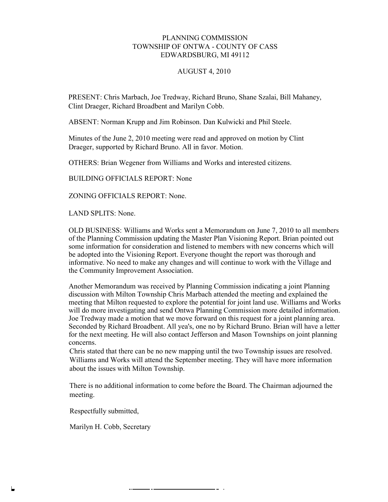### PLANNING COMMISSION TOWNSHIP OF ONTWA - COUNTY OF CASS EDWARDSBURG, MI 49112

### AUGUST 4, 2010

PRESENT: Chris Marbach, Joe Tredway, Richard Bruno, Shane Szalai, Bill Mahaney, Clint Draeger, Richard Broadbent and Marilyn Cobb.

ABSENT: Norman Krupp and Jim Robinson. Dan Kulwicki and Phil Steele.

Minutes of the June 2, 2010 meeting were read and approved on motion by Clint Draeger, supported by Richard Bruno. All in favor. Motion.

OTHERS: Brian Wegener from Williams and Works and interested citizens.

BUILDING OFFICIALS REPORT: None

ZONING OFFICIALS REPORT: None.

LAND SPLITS: None.

OLD BUSINESS: Williams and Works sent a Memorandum on June 7, 2010 to all members of the Planning Commission updating the Master Plan Visioning Report. Brian pointed out some information for consideration and listened to members with new concerns which will be adopted into the Visioning Report. Everyone thought the report was thorough and informative. No need to make any changes and will continue to work with the Village and the Community Improvement Association.

Another Memorandum was received by Planning Commission indicating a joint Planning discussion with Milton Township Chris Marbach attended the meeting and explained the meeting that Milton requested to explore the potential for joint land use. Williams and Works will do more investigating and send Ontwa Planning Commission more detailed information. Joe Tredway made a motion that we move forward on this request for a joint planning area. Seconded by Richard Broadbent. All yea's, one no by Richard Bruno. Brian will have a letter for the next meeting. He will also contact Jefferson and Mason Townships on joint planning concerns.

Chris stated that there can be no new mapping until the two Township issues are resolved. Williams and Works will attend the September meeting. They will have more information about the issues with Milton Township.

There is no additional information to come before the Board. The Chairman adjourned the meeting.

Respectfully submitted,

Marilyn H. Cobb, Secretary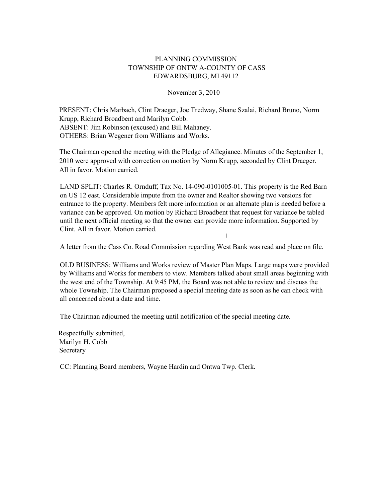### PLANNING COMMISSION TOWNSHIP OF ONTW A-COUNTY OF CASS EDWARDSBURG, MI 49112

November 3, 2010

PRESENT: Chris Marbach, Clint Draeger, Joe Tredway, Shane Szalai, Richard Bruno, Norm Krupp, Richard Broadbent and Marilyn Cobb. ABSENT: Jim Robinson (excused) and Bill Mahaney. OTHERS: Brian Wegener from Williams and Works.

The Chairman opened the meeting with the Pledge of Allegiance. Minutes of the September 1, 2010 were approved with correction on motion by Norm Krupp, seconded by Clint Draeger. All in favor. Motion carried.

LAND SPLIT: Charles R. Ornduff, Tax No. 14-090-0101005-01. This property is the Red Barn on US 12 east. Considerable impute from the owner and Realtor showing two versions for entrance to the property. Members felt more information or an alternate plan is needed before a variance can be approved. On motion by Richard Broadbent that request for variance be tabled until the next official meeting so that the owner can provide more information. Supported by Clint. All in favor. Motion carried.

A letter from the Cass Co. Road Commission regarding West Bank was read and place on file.

I

OLD BUSINESS: Williams and Works review of Master Plan Maps. Large maps were provided by Williams and Works for members to view. Members talked about small areas beginning with the west end of the Township. At 9:45 PM, the Board was not able to review and discuss the whole Township. The Chairman proposed a special meeting date as soon as he can check with all concerned about a date and time.

The Chairman adjourned the meeting until notification of the special meeting date.

Respectfully submitted, Marilyn H. Cobb Secretary

CC: Planning Board members, Wayne Hardin and Ontwa Twp. Clerk.